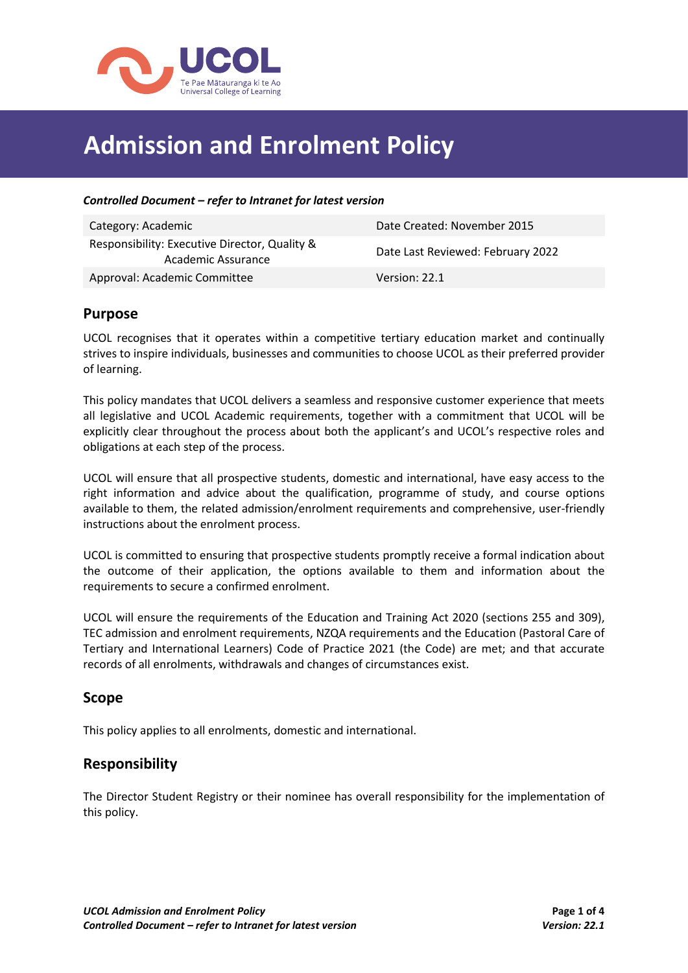

# **Admission and Enrolment Policy**

#### *Controlled Document – refer to Intranet for latest version*

| Category: Academic                                                  | Date Created: November 2015       |
|---------------------------------------------------------------------|-----------------------------------|
| Responsibility: Executive Director, Quality &<br>Academic Assurance | Date Last Reviewed: February 2022 |
| Approval: Academic Committee                                        | Version: 22.1                     |

### **Purpose**

UCOL recognises that it operates within a competitive tertiary education market and continually strives to inspire individuals, businesses and communities to choose UCOL as their preferred provider of learning.

This policy mandates that UCOL delivers a seamless and responsive customer experience that meets all legislative and UCOL Academic requirements, together with a commitment that UCOL will be explicitly clear throughout the process about both the applicant's and UCOL's respective roles and obligations at each step of the process.

UCOL will ensure that all prospective students, domestic and international, have easy access to the right information and advice about the qualification, programme of study, and course options available to them, the related admission/enrolment requirements and comprehensive, user-friendly instructions about the enrolment process.

UCOL is committed to ensuring that prospective students promptly receive a formal indication about the outcome of their application, the options available to them and information about the requirements to secure a confirmed enrolment.

UCOL will ensure the requirements of the Education and Training Act 2020 (sections 255 and 309), TEC admission and enrolment requirements, NZQA requirements and the Education (Pastoral Care of Tertiary and International Learners) Code of Practice 2021 (the Code) are met; and that accurate records of all enrolments, withdrawals and changes of circumstances exist.

### **Scope**

This policy applies to all enrolments, domestic and international.

# **Responsibility**

The Director Student Registry or their nominee has overall responsibility for the implementation of this policy.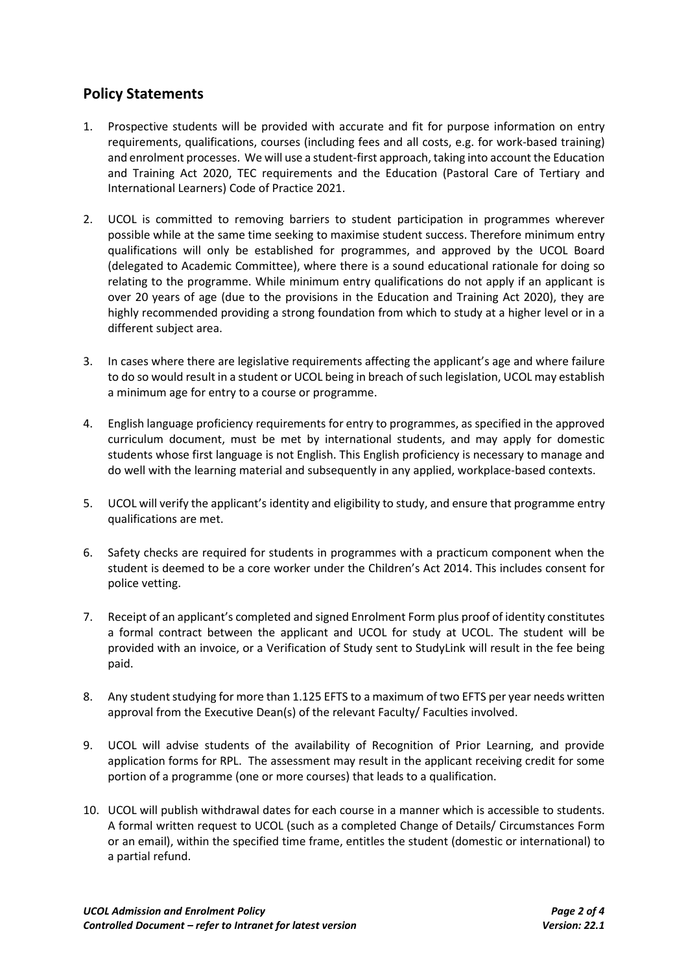# **Policy Statements**

- 1. Prospective students will be provided with accurate and fit for purpose information on entry requirements, qualifications, courses (including fees and all costs, e.g. for work-based training) and enrolment processes. We will use a student-first approach, taking into account the Education and Training Act 2020, TEC requirements and the Education (Pastoral Care of Tertiary and International Learners) Code of Practice 2021.
- 2. UCOL is committed to removing barriers to student participation in programmes wherever possible while at the same time seeking to maximise student success. Therefore minimum entry qualifications will only be established for programmes, and approved by the UCOL Board (delegated to Academic Committee), where there is a sound educational rationale for doing so relating to the programme. While minimum entry qualifications do not apply if an applicant is over 20 years of age (due to the provisions in the Education and Training Act 2020), they are highly recommended providing a strong foundation from which to study at a higher level or in a different subject area.
- 3. In cases where there are legislative requirements affecting the applicant's age and where failure to do so would result in a student or UCOL being in breach of such legislation, UCOL may establish a minimum age for entry to a course or programme.
- 4. English language proficiency requirements for entry to programmes, as specified in the approved curriculum document, must be met by international students, and may apply for domestic students whose first language is not English. This English proficiency is necessary to manage and do well with the learning material and subsequently in any applied, workplace-based contexts.
- 5. UCOL will verify the applicant's identity and eligibility to study, and ensure that programme entry qualifications are met.
- 6. Safety checks are required for students in programmes with a practicum component when the student is deemed to be a core worker under the Children's Act 2014. This includes consent for police vetting.
- 7. Receipt of an applicant's completed and signed Enrolment Form plus proof of identity constitutes a formal contract between the applicant and UCOL for study at UCOL. The student will be provided with an invoice, or a Verification of Study sent to StudyLink will result in the fee being paid.
- 8. Any student studying for more than 1.125 EFTS to a maximum of two EFTS per year needs written approval from the Executive Dean(s) of the relevant Faculty/ Faculties involved.
- 9. UCOL will advise students of the availability of Recognition of Prior Learning, and provide application forms for RPL. The assessment may result in the applicant receiving credit for some portion of a programme (one or more courses) that leads to a qualification.
- 10. UCOL will publish withdrawal dates for each course in a manner which is accessible to students. A formal written request to UCOL (such as a completed Change of Details/ Circumstances Form or an email), within the specified time frame, entitles the student (domestic or international) to a partial refund.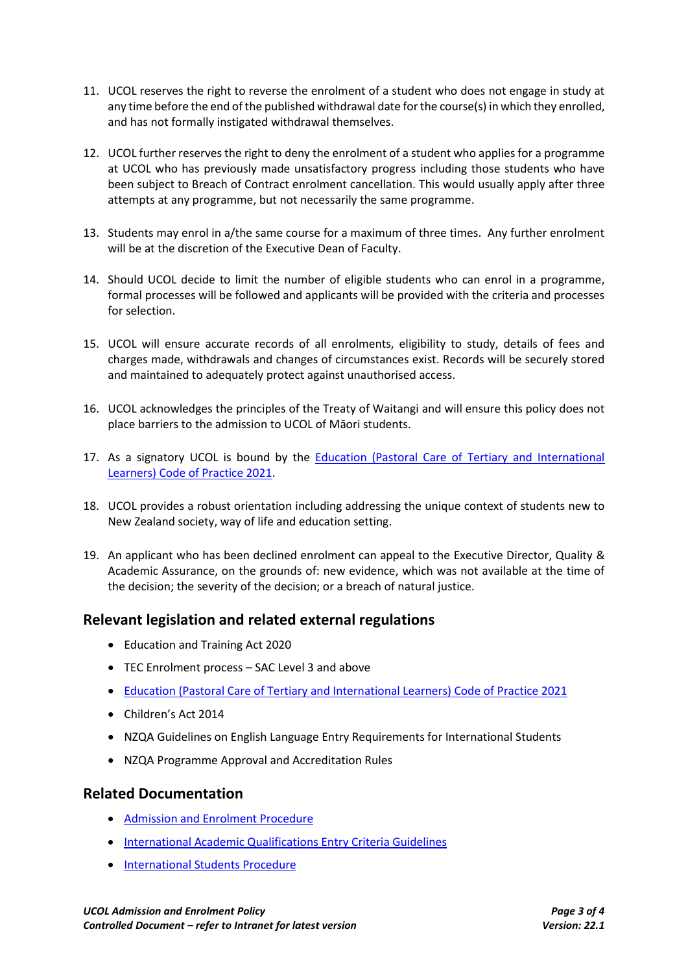- 11. UCOL reserves the right to reverse the enrolment of a student who does not engage in study at any time before the end of the published withdrawal date for the course(s) in which they enrolled, and has not formally instigated withdrawal themselves.
- 12. UCOL further reserves the right to deny the enrolment of a student who applies for a programme at UCOL who has previously made unsatisfactory progress including those students who have been subject to Breach of Contract enrolment cancellation. This would usually apply after three attempts at any programme, but not necessarily the same programme.
- 13. Students may enrol in a/the same course for a maximum of three times. Any further enrolment will be at the discretion of the Executive Dean of Faculty.
- 14. Should UCOL decide to limit the number of eligible students who can enrol in a programme, formal processes will be followed and applicants will be provided with the criteria and processes for selection.
- 15. UCOL will ensure accurate records of all enrolments, eligibility to study, details of fees and charges made, withdrawals and changes of circumstances exist. Records will be securely stored and maintained to adequately protect against unauthorised access.
- 16. UCOL acknowledges the principles of the Treaty of Waitangi and will ensure this policy does not place barriers to the admission to UCOL of Māori students.
- 17. As a signatory UCOL is bound by the [Education \(Pastoral Care of Tertiary and International](https://www.nzqa.govt.nz/providers-partners/tertiary-and-international-learners-code/)  [Learners\) Code of Practice 2021.](https://www.nzqa.govt.nz/providers-partners/tertiary-and-international-learners-code/)
- 18. UCOL provides a robust orientation including addressing the unique context of students new to New Zealand society, way of life and education setting.
- 19. An applicant who has been declined enrolment can appeal to the Executive Director, Quality & Academic Assurance, on the grounds of: new evidence, which was not available at the time of the decision; the severity of the decision; or a breach of natural justice.

# **Relevant legislation and related external regulations**

- Education and Training Act 2020
- TEC Enrolment process SAC Level 3 and above
- [Education \(Pastoral Care of Tertiary and International Learners\) Code of Practice 2021](https://www.nzqa.govt.nz/providers-partners/tertiary-and-international-learners-code/)
- Children's Act 2014
- NZQA Guidelines on English Language Entry Requirements for International Students
- NZQA Programme Approval and Accreditation Rules

### **Related Documentation**

- [Admission and Enrolment Procedure](https://teams.ucol.ac.nz/business/corpsys/Official%20Documents/Admission%20and%20Enrolment%20Procedure.pdf)
- [International Academic Qualifications Entry Criteria Guidelines](https://teams.ucol.ac.nz/business/corpsys/Official%20Documents/International%20Academic%20Qualifications%20Entry%20Criteria%20Guidelines.pdf)
- **[International Students](http://teams.ucol.ac.nz/business/corpsys/Official%20Documents/International%20Students%20Procedure.pdf) Procedure**